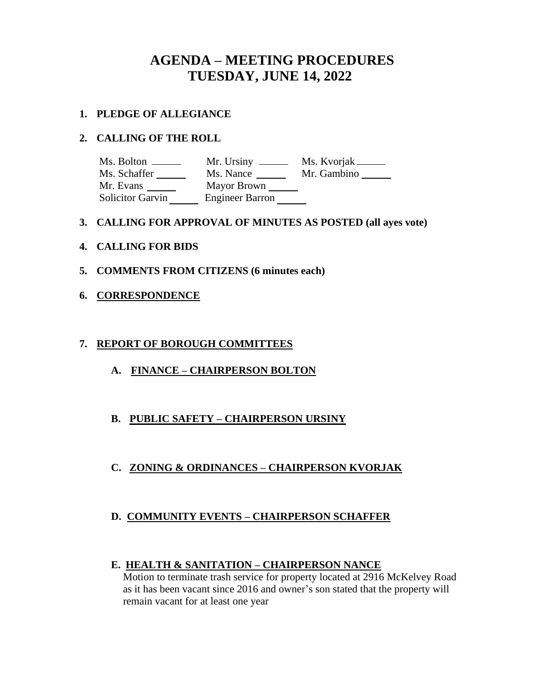# **AGENDA – MEETING PROCEDURES TUESDAY, JUNE 14, 2022**

#### **1. PLEDGE OF ALLEGIANCE**

# **2. CALLING OF THE ROLL**

| Ms. Bolton              | Mr. Ursiny<br>the control of the con- | Ms. Kvorjak |
|-------------------------|---------------------------------------|-------------|
| Ms. Schaffer            | Ms. Nance                             | Mr. Gambino |
| Mr. Evans               | Mayor Brown                           |             |
| <b>Solicitor Garvin</b> | <b>Engineer Barron</b>                |             |

#### **3. CALLING FOR APPROVAL OF MINUTES AS POSTED (all ayes vote)**

# **4. CALLING FOR BIDS**

- **5. COMMENTS FROM CITIZENS (6 minutes each)**
- **6. CORRESPONDENCE**

#### **7. REPORT OF BOROUGH COMMITTEES**

**A. FINANCE – CHAIRPERSON BOLTON**

# **B. PUBLIC SAFETY – CHAIRPERSON URSINY**

# **C. ZONING & ORDINANCES – CHAIRPERSON KVORJAK**

# **D. COMMUNITY EVENTS – CHAIRPERSON SCHAFFER**

# **E. HEALTH & SANITATION – CHAIRPERSON NANCE**

Motion to terminate trash service for property located at 2916 McKelvey Road as it has been vacant since 2016 and owner's son stated that the property will remain vacant for at least one year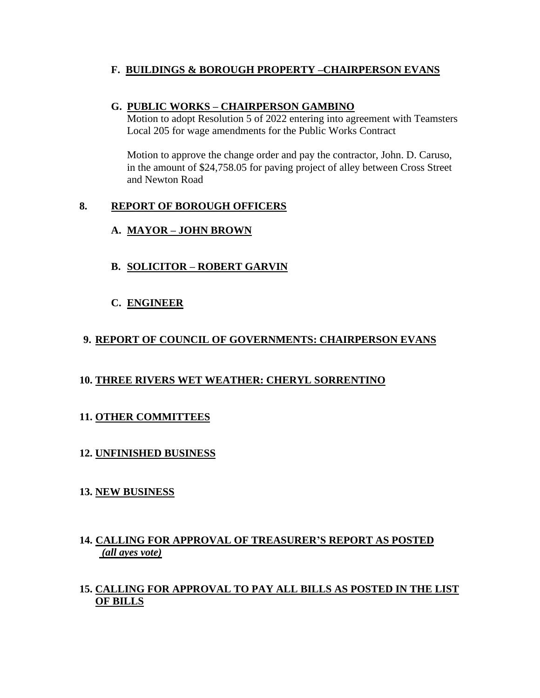# **F. BUILDINGS & BOROUGH PROPERTY –CHAIRPERSON EVANS**

#### **G. PUBLIC WORKS – CHAIRPERSON GAMBINO**

Motion to adopt Resolution 5 of 2022 entering into agreement with Teamsters Local 205 for wage amendments for the Public Works Contract

Motion to approve the change order and pay the contractor, John. D. Caruso, in the amount of \$24,758.05 for paving project of alley between Cross Street and Newton Road

#### **8. REPORT OF BOROUGH OFFICERS**

# **A. MAYOR – JOHN BROWN**

- **B. SOLICITOR – ROBERT GARVIN**
- **C. ENGINEER**

# **9. REPORT OF COUNCIL OF GOVERNMENTS: CHAIRPERSON EVANS**

# **10. THREE RIVERS WET WEATHER: CHERYL SORRENTINO**

# **11. OTHER COMMITTEES**

# **12. UNFINISHED BUSINESS**

# **13. NEW BUSINESS**

# **14. CALLING FOR APPROVAL OF TREASURER'S REPORT AS POSTED** *(all ayes vote)*

# **15. CALLING FOR APPROVAL TO PAY ALL BILLS AS POSTED IN THE LIST OF BILLS**